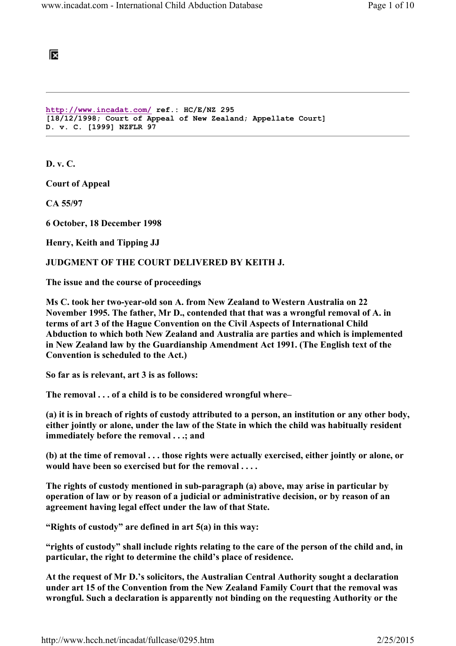阪

```
http://www.incadat.com/ ref.: HC/E/NZ 295 
[18/12/1998; Court of Appeal of New Zealand; Appellate Court] 
D. v. C. [1999] NZFLR 97
```
D. v. C.

Court of Appeal

CA 55/97

6 October, 18 December 1998

Henry, Keith and Tipping JJ

#### JUDGMENT OF THE COURT DELIVERED BY KEITH J.

The issue and the course of proceedings

Ms C. took her two-year-old son A. from New Zealand to Western Australia on 22 November 1995. The father, Mr D., contended that that was a wrongful removal of A. in terms of art 3 of the Hague Convention on the Civil Aspects of International Child Abduction to which both New Zealand and Australia are parties and which is implemented in New Zealand law by the Guardianship Amendment Act 1991. (The English text of the Convention is scheduled to the Act.)

So far as is relevant, art 3 is as follows:

The removal . . . of a child is to be considered wrongful where–

(a) it is in breach of rights of custody attributed to a person, an institution or any other body, either jointly or alone, under the law of the State in which the child was habitually resident immediately before the removal . . .; and

(b) at the time of removal . . . those rights were actually exercised, either jointly or alone, or would have been so exercised but for the removal....

The rights of custody mentioned in sub-paragraph (a) above, may arise in particular by operation of law or by reason of a judicial or administrative decision, or by reason of an agreement having legal effect under the law of that State.

"Rights of custody" are defined in art  $5(a)$  in this way:

"rights of custody" shall include rights relating to the care of the person of the child and, in particular, the right to determine the child's place of residence.

At the request of Mr D.'s solicitors, the Australian Central Authority sought a declaration under art 15 of the Convention from the New Zealand Family Court that the removal was wrongful. Such a declaration is apparently not binding on the requesting Authority or the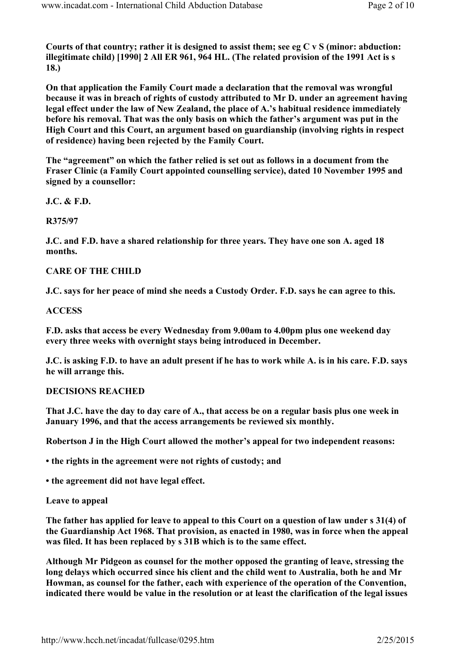Courts of that country; rather it is designed to assist them; see eg C v S (minor: abduction: illegitimate child) [1990] 2 All ER 961, 964 HL. (The related provision of the 1991 Act is s 18.)

On that application the Family Court made a declaration that the removal was wrongful because it was in breach of rights of custody attributed to Mr D. under an agreement having legal effect under the law of New Zealand, the place of A.'s habitual residence immediately before his removal. That was the only basis on which the father's argument was put in the High Court and this Court, an argument based on guardianship (involving rights in respect of residence) having been rejected by the Family Court.

The "agreement" on which the father relied is set out as follows in a document from the Fraser Clinic (a Family Court appointed counselling service), dated 10 November 1995 and signed by a counsellor:

J.C. & F.D.

R375/97

J.C. and F.D. have a shared relationship for three years. They have one son A. aged 18 months.

## CARE OF THE CHILD

J.C. says for her peace of mind she needs a Custody Order. F.D. says he can agree to this.

## **ACCESS**

F.D. asks that access be every Wednesday from 9.00am to 4.00pm plus one weekend day every three weeks with overnight stays being introduced in December.

J.C. is asking F.D. to have an adult present if he has to work while A. is in his care. F.D. says he will arrange this.

## DECISIONS REACHED

That J.C. have the day to day care of A., that access be on a regular basis plus one week in January 1996, and that the access arrangements be reviewed six monthly.

Robertson J in the High Court allowed the mother's appeal for two independent reasons:

• the rights in the agreement were not rights of custody; and

• the agreement did not have legal effect.

#### Leave to appeal

The father has applied for leave to appeal to this Court on a question of law under s 31(4) of the Guardianship Act 1968. That provision, as enacted in 1980, was in force when the appeal was filed. It has been replaced by s 31B which is to the same effect.

Although Mr Pidgeon as counsel for the mother opposed the granting of leave, stressing the long delays which occurred since his client and the child went to Australia, both he and Mr Howman, as counsel for the father, each with experience of the operation of the Convention, indicated there would be value in the resolution or at least the clarification of the legal issues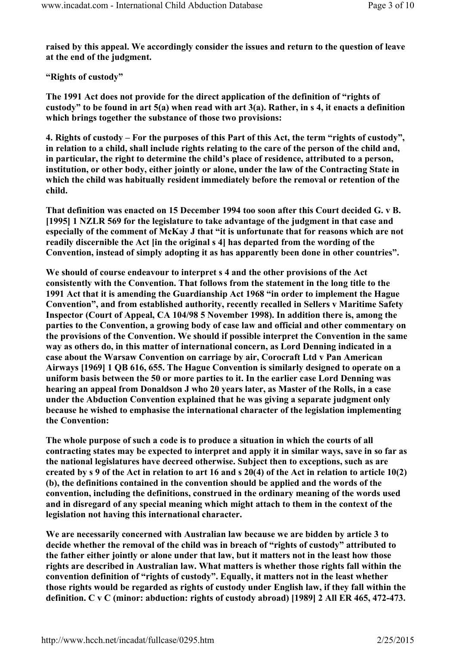raised by this appeal. We accordingly consider the issues and return to the question of leave at the end of the judgment.

"Rights of custody"

The 1991 Act does not provide for the direct application of the definition of "rights of custody" to be found in art 5(a) when read with art 3(a). Rather, in s 4, it enacts a definition which brings together the substance of those two provisions:

4. Rights of custody – For the purposes of this Part of this Act, the term "rights of custody", in relation to a child, shall include rights relating to the care of the person of the child and, in particular, the right to determine the child's place of residence, attributed to a person, institution, or other body, either jointly or alone, under the law of the Contracting State in which the child was habitually resident immediately before the removal or retention of the child.

That definition was enacted on 15 December 1994 too soon after this Court decided G. v B. [1995] 1 NZLR 569 for the legislature to take advantage of the judgment in that case and especially of the comment of McKay J that "it is unfortunate that for reasons which are not readily discernible the Act [in the original s 4] has departed from the wording of the Convention, instead of simply adopting it as has apparently been done in other countries".

We should of course endeavour to interpret s 4 and the other provisions of the Act consistently with the Convention. That follows from the statement in the long title to the 1991 Act that it is amending the Guardianship Act 1968 "in order to implement the Hague Convention", and from established authority, recently recalled in Sellers v Maritime Safety Inspector (Court of Appeal, CA 104/98 5 November 1998). In addition there is, among the parties to the Convention, a growing body of case law and official and other commentary on the provisions of the Convention. We should if possible interpret the Convention in the same way as others do, in this matter of international concern, as Lord Denning indicated in a case about the Warsaw Convention on carriage by air, Corocraft Ltd v Pan American Airways [1969] 1 QB 616, 655. The Hague Convention is similarly designed to operate on a uniform basis between the 50 or more parties to it. In the earlier case Lord Denning was hearing an appeal from Donaldson J who 20 years later, as Master of the Rolls, in a case under the Abduction Convention explained that he was giving a separate judgment only because he wished to emphasise the international character of the legislation implementing the Convention:

The whole purpose of such a code is to produce a situation in which the courts of all contracting states may be expected to interpret and apply it in similar ways, save in so far as the national legislatures have decreed otherwise. Subject then to exceptions, such as are created by s 9 of the Act in relation to art 16 and s 20(4) of the Act in relation to article 10(2) (b), the definitions contained in the convention should be applied and the words of the convention, including the definitions, construed in the ordinary meaning of the words used and in disregard of any special meaning which might attach to them in the context of the legislation not having this international character.

We are necessarily concerned with Australian law because we are bidden by article 3 to decide whether the removal of the child was in breach of "rights of custody" attributed to the father either jointly or alone under that law, but it matters not in the least how those rights are described in Australian law. What matters is whether those rights fall within the convention definition of "rights of custody". Equally, it matters not in the least whether those rights would be regarded as rights of custody under English law, if they fall within the definition. C v C (minor: abduction: rights of custody abroad) [1989] 2 All ER 465, 472-473.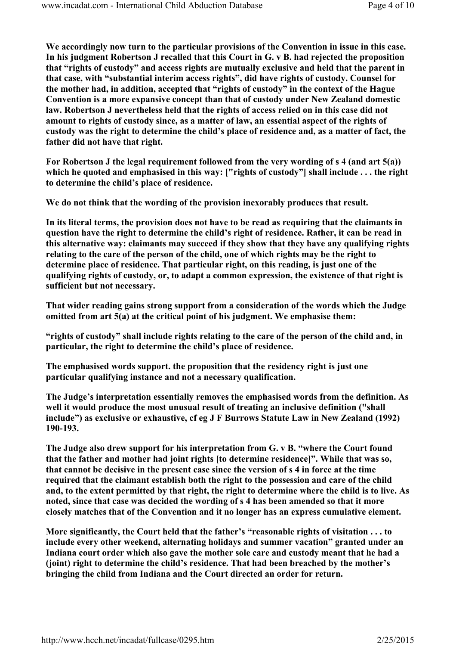We accordingly now turn to the particular provisions of the Convention in issue in this case. In his judgment Robertson J recalled that this Court in G. v B. had rejected the proposition that "rights of custody" and access rights are mutually exclusive and held that the parent in that case, with "substantial interim access rights", did have rights of custody. Counsel for the mother had, in addition, accepted that "rights of custody" in the context of the Hague Convention is a more expansive concept than that of custody under New Zealand domestic law. Robertson J nevertheless held that the rights of access relied on in this case did not amount to rights of custody since, as a matter of law, an essential aspect of the rights of custody was the right to determine the child's place of residence and, as a matter of fact, the father did not have that right.

For Robertson J the legal requirement followed from the very wording of s 4 (and art 5(a)) which he quoted and emphasised in this way: ["rights of custody"] shall include ... the right to determine the child's place of residence.

We do not think that the wording of the provision inexorably produces that result.

In its literal terms, the provision does not have to be read as requiring that the claimants in question have the right to determine the child's right of residence. Rather, it can be read in this alternative way: claimants may succeed if they show that they have any qualifying rights relating to the care of the person of the child, one of which rights may be the right to determine place of residence. That particular right, on this reading, is just one of the qualifying rights of custody, or, to adapt a common expression, the existence of that right is sufficient but not necessary.

That wider reading gains strong support from a consideration of the words which the Judge omitted from art 5(a) at the critical point of his judgment. We emphasise them:

"rights of custody" shall include rights relating to the care of the person of the child and, in particular, the right to determine the child's place of residence.

The emphasised words support. the proposition that the residency right is just one particular qualifying instance and not a necessary qualification.

The Judge's interpretation essentially removes the emphasised words from the definition. As well it would produce the most unusual result of treating an inclusive definition ("shall include") as exclusive or exhaustive, cf eg J F Burrows Statute Law in New Zealand (1992) 190-193.

The Judge also drew support for his interpretation from G. v B. "where the Court found that the father and mother had joint rights [to determine residence]". While that was so, that cannot be decisive in the present case since the version of s 4 in force at the time required that the claimant establish both the right to the possession and care of the child and, to the extent permitted by that right, the right to determine where the child is to live. As noted, since that case was decided the wording of s 4 has been amended so that it more closely matches that of the Convention and it no longer has an express cumulative element.

More significantly, the Court held that the father's "reasonable rights of visitation . . . to include every other weekend, alternating holidays and summer vacation" granted under an Indiana court order which also gave the mother sole care and custody meant that he had a (joint) right to determine the child's residence. That had been breached by the mother's bringing the child from Indiana and the Court directed an order for return.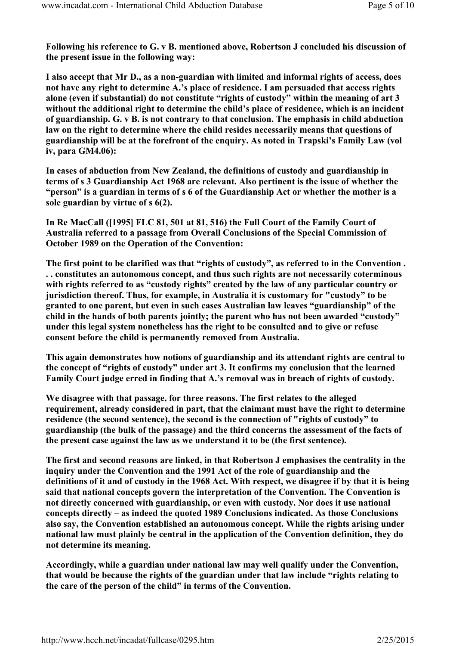Following his reference to G. v B. mentioned above, Robertson J concluded his discussion of the present issue in the following way:

I also accept that Mr D., as a non-guardian with limited and informal rights of access, does not have any right to determine A.'s place of residence. I am persuaded that access rights alone (even if substantial) do not constitute "rights of custody" within the meaning of art 3 without the additional right to determine the child's place of residence, which is an incident of guardianship. G. v B. is not contrary to that conclusion. The emphasis in child abduction law on the right to determine where the child resides necessarily means that questions of guardianship will be at the forefront of the enquiry. As noted in Trapski's Family Law (vol iv, para GM4.06):

In cases of abduction from New Zealand, the definitions of custody and guardianship in terms of s 3 Guardianship Act 1968 are relevant. Also pertinent is the issue of whether the "person" is a guardian in terms of s 6 of the Guardianship Act or whether the mother is a sole guardian by virtue of s 6(2).

In Re MacCall ([1995] FLC 81, 501 at 81, 516) the Full Court of the Family Court of Australia referred to a passage from Overall Conclusions of the Special Commission of October 1989 on the Operation of the Convention:

The first point to be clarified was that "rights of custody", as referred to in the Convention . . . constitutes an autonomous concept, and thus such rights are not necessarily coterminous with rights referred to as "custody rights" created by the law of any particular country or jurisdiction thereof. Thus, for example, in Australia it is customary for "custody" to be granted to one parent, but even in such cases Australian law leaves "guardianship" of the child in the hands of both parents jointly; the parent who has not been awarded "custody" under this legal system nonetheless has the right to be consulted and to give or refuse consent before the child is permanently removed from Australia.

This again demonstrates how notions of guardianship and its attendant rights are central to the concept of "rights of custody" under art 3. It confirms my conclusion that the learned Family Court judge erred in finding that A.'s removal was in breach of rights of custody.

We disagree with that passage, for three reasons. The first relates to the alleged requirement, already considered in part, that the claimant must have the right to determine residence (the second sentence), the second is the connection of "rights of custody" to guardianship (the bulk of the passage) and the third concerns the assessment of the facts of the present case against the law as we understand it to be (the first sentence).

The first and second reasons are linked, in that Robertson J emphasises the centrality in the inquiry under the Convention and the 1991 Act of the role of guardianship and the definitions of it and of custody in the 1968 Act. With respect, we disagree if by that it is being said that national concepts govern the interpretation of the Convention. The Convention is not directly concerned with guardianship, or even with custody. Nor does it use national concepts directly – as indeed the quoted 1989 Conclusions indicated. As those Conclusions also say, the Convention established an autonomous concept. While the rights arising under national law must plainly be central in the application of the Convention definition, they do not determine its meaning.

Accordingly, while a guardian under national law may well qualify under the Convention, that would be because the rights of the guardian under that law include "rights relating to the care of the person of the child" in terms of the Convention.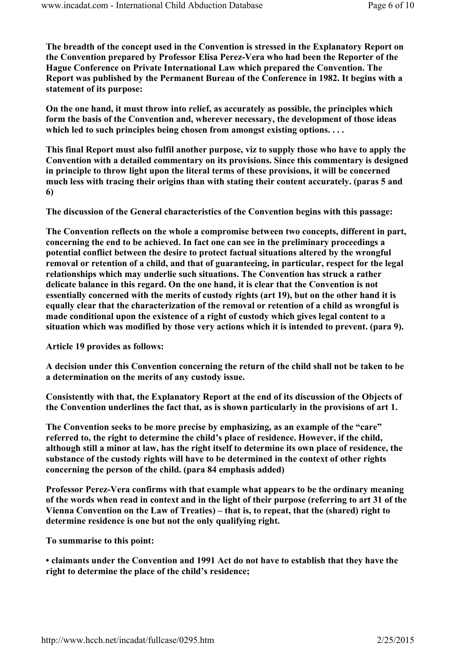The breadth of the concept used in the Convention is stressed in the Explanatory Report on the Convention prepared by Professor Elisa Perez-Vera who had been the Reporter of the Hague Conference on Private International Law which prepared the Convention. The Report was published by the Permanent Bureau of the Conference in 1982. It begins with a statement of its purpose:

On the one hand, it must throw into relief, as accurately as possible, the principles which form the basis of the Convention and, wherever necessary, the development of those ideas which led to such principles being chosen from amongst existing options....

This final Report must also fulfil another purpose, viz to supply those who have to apply the Convention with a detailed commentary on its provisions. Since this commentary is designed in principle to throw light upon the literal terms of these provisions, it will be concerned much less with tracing their origins than with stating their content accurately. (paras 5 and 6)

The discussion of the General characteristics of the Convention begins with this passage:

The Convention reflects on the whole a compromise between two concepts, different in part, concerning the end to be achieved. In fact one can see in the preliminary proceedings a potential conflict between the desire to protect factual situations altered by the wrongful removal or retention of a child, and that of guaranteeing, in particular, respect for the legal relationships which may underlie such situations. The Convention has struck a rather delicate balance in this regard. On the one hand, it is clear that the Convention is not essentially concerned with the merits of custody rights (art 19), but on the other hand it is equally clear that the characterization of the removal or retention of a child as wrongful is made conditional upon the existence of a right of custody which gives legal content to a situation which was modified by those very actions which it is intended to prevent. (para 9).

Article 19 provides as follows:

A decision under this Convention concerning the return of the child shall not be taken to be a determination on the merits of any custody issue.

Consistently with that, the Explanatory Report at the end of its discussion of the Objects of the Convention underlines the fact that, as is shown particularly in the provisions of art 1.

The Convention seeks to be more precise by emphasizing, as an example of the "care" referred to, the right to determine the child's place of residence. However, if the child, although still a minor at law, has the right itself to determine its own place of residence, the substance of the custody rights will have to be determined in the context of other rights concerning the person of the child. (para 84 emphasis added)

Professor Perez-Vera confirms with that example what appears to be the ordinary meaning of the words when read in context and in the light of their purpose (referring to art 31 of the Vienna Convention on the Law of Treaties) – that is, to repeat, that the (shared) right to determine residence is one but not the only qualifying right.

To summarise to this point:

• claimants under the Convention and 1991 Act do not have to establish that they have the right to determine the place of the child's residence;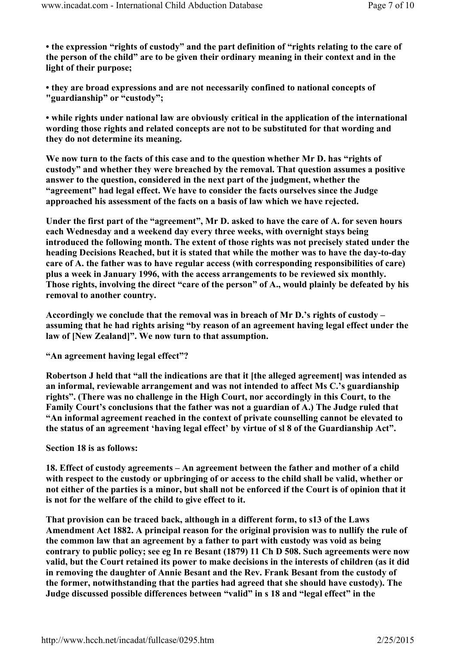• the expression "rights of custody" and the part definition of "rights relating to the care of the person of the child" are to be given their ordinary meaning in their context and in the light of their purpose;

• they are broad expressions and are not necessarily confined to national concepts of "guardianship" or "custody";

• while rights under national law are obviously critical in the application of the international wording those rights and related concepts are not to be substituted for that wording and they do not determine its meaning.

We now turn to the facts of this case and to the question whether Mr D. has "rights of custody" and whether they were breached by the removal. That question assumes a positive answer to the question, considered in the next part of the judgment, whether the "agreement" had legal effect. We have to consider the facts ourselves since the Judge approached his assessment of the facts on a basis of law which we have rejected.

Under the first part of the "agreement", Mr D. asked to have the care of A. for seven hours each Wednesday and a weekend day every three weeks, with overnight stays being introduced the following month. The extent of those rights was not precisely stated under the heading Decisions Reached, but it is stated that while the mother was to have the day-to-day care of A. the father was to have regular access (with corresponding responsibilities of care) plus a week in January 1996, with the access arrangements to be reviewed six monthly. Those rights, involving the direct "care of the person" of A., would plainly be defeated by his removal to another country.

Accordingly we conclude that the removal was in breach of Mr D.'s rights of custody – assuming that he had rights arising "by reason of an agreement having legal effect under the law of [New Zealand]". We now turn to that assumption.

"An agreement having legal effect"?

Robertson J held that "all the indications are that it [the alleged agreement] was intended as an informal, reviewable arrangement and was not intended to affect Ms C.'s guardianship rights". (There was no challenge in the High Court, nor accordingly in this Court, to the Family Court's conclusions that the father was not a guardian of A.) The Judge ruled that "An informal agreement reached in the context of private counselling cannot be elevated to the status of an agreement 'having legal effect' by virtue of sl 8 of the Guardianship Act".

Section 18 is as follows:

18. Effect of custody agreements – An agreement between the father and mother of a child with respect to the custody or upbringing of or access to the child shall be valid, whether or not either of the parties is a minor, but shall not be enforced if the Court is of opinion that it is not for the welfare of the child to give effect to it.

That provision can be traced back, although in a different form, to s13 of the Laws Amendment Act 1882. A principal reason for the original provision was to nullify the rule of the common law that an agreement by a father to part with custody was void as being contrary to public policy; see eg In re Besant (1879) 11 Ch D 508. Such agreements were now valid, but the Court retained its power to make decisions in the interests of children (as it did in removing the daughter of Annie Besant and the Rev. Frank Besant from the custody of the former, notwithstanding that the parties had agreed that she should have custody). The Judge discussed possible differences between "valid" in s 18 and "legal effect" in the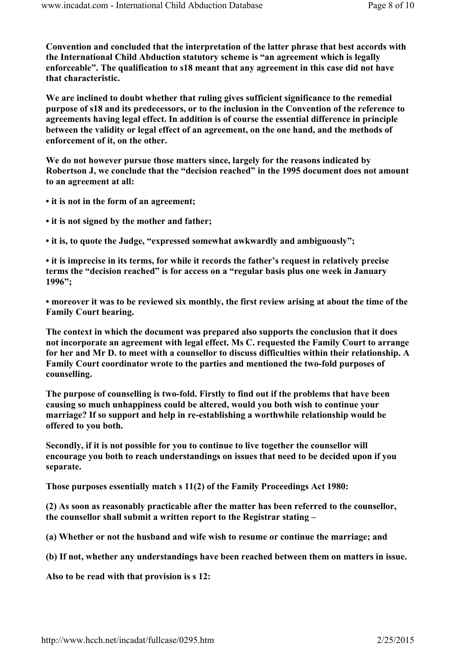Convention and concluded that the interpretation of the latter phrase that best accords with the International Child Abduction statutory scheme is "an agreement which is legally enforceable". The qualification to s18 meant that any agreement in this case did not have that characteristic.

We are inclined to doubt whether that ruling gives sufficient significance to the remedial purpose of s18 and its predecessors, or to the inclusion in the Convention of the reference to agreements having legal effect. In addition is of course the essential difference in principle between the validity or legal effect of an agreement, on the one hand, and the methods of enforcement of it, on the other.

We do not however pursue those matters since, largely for the reasons indicated by Robertson J, we conclude that the "decision reached" in the 1995 document does not amount to an agreement at all:

- it is not in the form of an agreement;
- it is not signed by the mother and father;
- it is, to quote the Judge, "expressed somewhat awkwardly and ambiguously";

• it is imprecise in its terms, for while it records the father's request in relatively precise terms the "decision reached" is for access on a "regular basis plus one week in January 1996";

• moreover it was to be reviewed six monthly, the first review arising at about the time of the Family Court hearing.

The context in which the document was prepared also supports the conclusion that it does not incorporate an agreement with legal effect. Ms C. requested the Family Court to arrange for her and Mr D. to meet with a counsellor to discuss difficulties within their relationship. A Family Court coordinator wrote to the parties and mentioned the two-fold purposes of counselling.

The purpose of counselling is two-fold. Firstly to find out if the problems that have been causing so much unhappiness could be altered, would you both wish to continue your marriage? If so support and help in re-establishing a worthwhile relationship would be offered to you both.

Secondly, if it is not possible for you to continue to live together the counsellor will encourage you both to reach understandings on issues that need to be decided upon if you separate.

Those purposes essentially match s 11(2) of the Family Proceedings Act 1980:

(2) As soon as reasonably practicable after the matter has been referred to the counsellor, the counsellor shall submit a written report to the Registrar stating –

(a) Whether or not the husband and wife wish to resume or continue the marriage; and

(b) If not, whether any understandings have been reached between them on matters in issue.

Also to be read with that provision is s 12: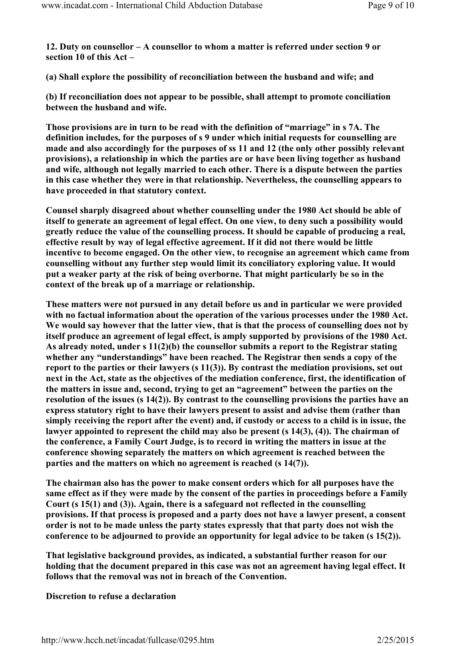12. Duty on counsellor – A counsellor to whom a matter is referred under section 9 or section 10 of this Act –

(a) Shall explore the possibility of reconciliation between the husband and wife; and

(b) If reconciliation does not appear to be possible, shall attempt to promote conciliation between the husband and wife.

Those provisions are in turn to be read with the definition of "marriage" in s 7A. The definition includes, for the purposes of s 9 under which initial requests for counselling are made and also accordingly for the purposes of ss 11 and 12 (the only other possibly relevant provisions), a relationship in which the parties are or have been living together as husband and wife, although not legally married to each other. There is a dispute between the parties in this case whether they were in that relationship. Nevertheless, the counselling appears to have proceeded in that statutory context.

Counsel sharply disagreed about whether counselling under the 1980 Act should be able of itself to generate an agreement of legal effect. On one view, to deny such a possibility would greatly reduce the value of the counselling process. It should be capable of producing a real, effective result by way of legal effective agreement. If it did not there would be little incentive to become engaged. On the other view, to recognise an agreement which came from counselling without any further step would limit its conciliatory exploring value. It would put a weaker party at the risk of being overborne. That might particularly be so in the context of the break up of a marriage or relationship.

These matters were not pursued in any detail before us and in particular we were provided with no factual information about the operation of the various processes under the 1980 Act. We would say however that the latter view, that is that the process of counselling does not by itself produce an agreement of legal effect, is amply supported by provisions of the 1980 Act. As already noted, under s 11(2)(b) the counsellor submits a report to the Registrar stating whether any "understandings" have been reached. The Registrar then sends a copy of the report to the parties or their lawyers (s 11(3)). By contrast the mediation provisions, set out next in the Act, state as the objectives of the mediation conference, first, the identification of the matters in issue and, second, trying to get an "agreement" between the parties on the resolution of the issues (s 14(2)). By contrast to the counselling provisions the parties have an express statutory right to have their lawyers present to assist and advise them (rather than simply receiving the report after the event) and, if custody or access to a child is in issue, the lawyer appointed to represent the child may also be present (s 14(3), (4)). The chairman of the conference, a Family Court Judge, is to record in writing the matters in issue at the conference showing separately the matters on which agreement is reached between the parties and the matters on which no agreement is reached (s 14(7)).

The chairman also has the power to make consent orders which for all purposes have the same effect as if they were made by the consent of the parties in proceedings before a Family Court (s 15(1) and (3)). Again, there is a safeguard not reflected in the counselling provisions. If that process is proposed and a party does not have a lawyer present, a consent order is not to be made unless the party states expressly that that party does not wish the conference to be adjourned to provide an opportunity for legal advice to be taken (s 15(2)).

That legislative background provides, as indicated, a substantial further reason for our holding that the document prepared in this case was not an agreement having legal effect. It follows that the removal was not in breach of the Convention.

# Discretion to refuse a declaration